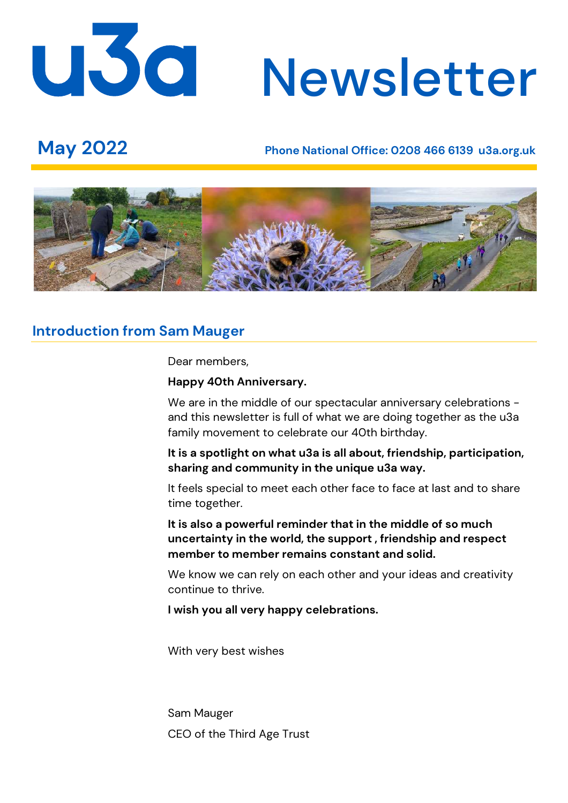# U3d Newsletter

# **May 2022 Phone National Office: 0208 466 6139 u3a.org.uk**



# **Introduction from Sam Mauger**

Dear members,

#### **Happy 40th Anniversary.**

We are in the middle of our spectacular anniversary celebrations and this newsletter is full of what we are doing together as the u3a family movement to celebrate our 40th birthday.

**It is a spotlight on what u3a is all about, friendship, participation, sharing and community in the unique u3a way.** 

It feels special to meet each other face to face at last and to share time together.

**It is also a powerful reminder that in the middle of so much uncertainty in the world, the support , friendship and respect member to member remains constant and solid.** 

We know we can rely on each other and your ideas and creativity continue to thrive.

**I wish you all very happy celebrations.**

With very best wishes

Sam Mauger CEO of the Third Age Trust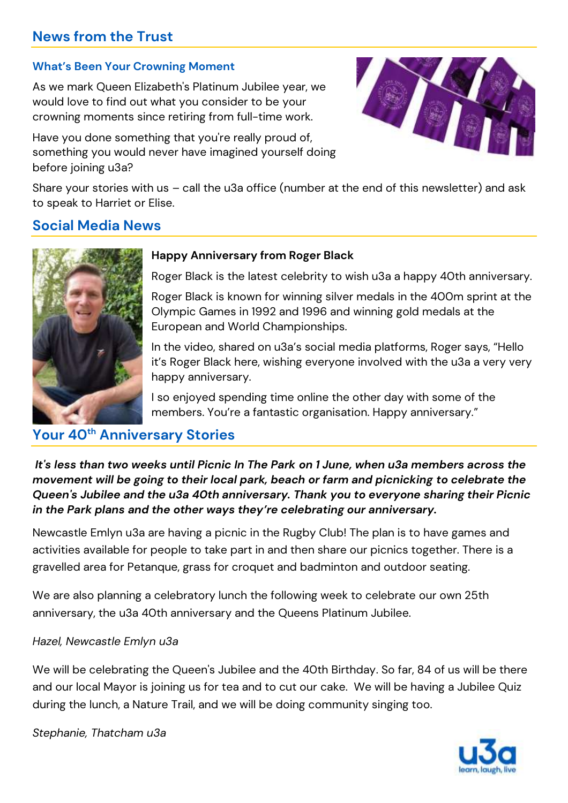# **News from the Trust**

#### **What's Been Your Crowning Moment**

As we mark Queen Elizabeth's Platinum Jubilee year, we would love to find out what you consider to be your crowning moments since retiring from full-time work.

Have you done something that you're really proud of, something you would never have imagined yourself doing before joining u3a?



Share your stories with us – call the u3a office (number at the end of this newsletter) and ask to speak to Harriet or Elise.

# **Social Media News**



#### **Happy Anniversary from Roger Black**

Roger Black is the latest celebrity to wish u3a a happy 40th anniversary.

Roger Black is known for winning silver medals in the 400m sprint at the Olympic Games in 1992 and 1996 and winning gold medals at the European and World Championships.

In the video, shared on u3a's social media platforms, Roger says, "Hello it's Roger Black here, wishing everyone involved with the u3a a very very happy anniversary.

I so enjoyed spending time online the other day with some of the members. You're a fantastic organisation. Happy anniversary."

# **Your 40th Anniversary Stories**

*It's less than two weeks until Picnic In The Park on 1 June, when u3a members across the movement will be going to their local park, beach or farm and picnicking to celebrate the Queen's Jubilee and the u3a 40th anniversary. Thank you to everyone sharing their Picnic in the Park plans and the other ways they're celebrating our anniversary.*

Newcastle Emlyn u3a are having a picnic in the Rugby Club! The plan is to have games and activities available for people to take part in and then share our picnics together. There is a gravelled area for Petanque, grass for croquet and badminton and outdoor seating.

We are also planning a celebratory lunch the following week to celebrate our own 25th anniversary, the u3a 40th anniversary and the Queens Platinum Jubilee.

#### *Hazel, Newcastle Emlyn u3a*

We will be celebrating the Queen's Jubilee and the 40th Birthday. So far, 84 of us will be there and our local Mayor is joining us for tea and to cut our cake. We will be having a Jubilee Quiz during the lunch, a Nature Trail, and we will be doing community singing too.

*Stephanie, Thatcham u3a*

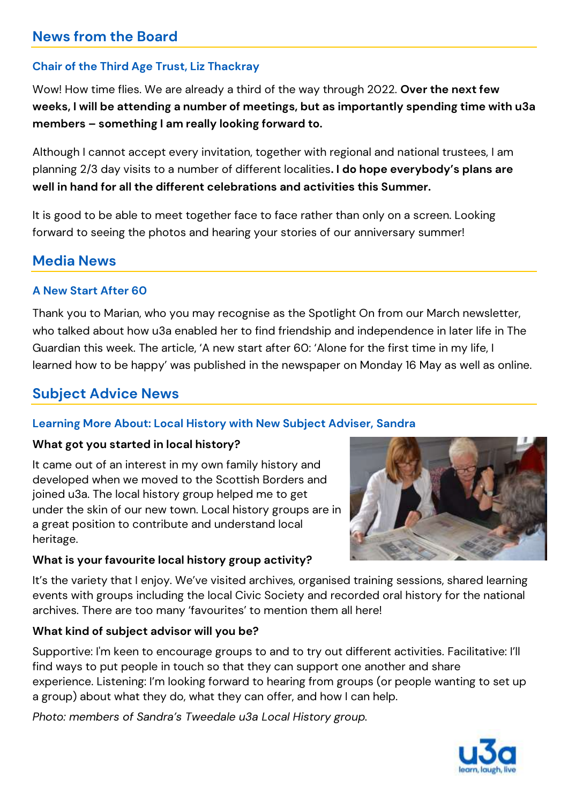# **News from the Board**

### **Chair of the Third Age Trust, Liz Thackray**

Wow! How time flies. We are already a third of the way through 2022. **Over the next few weeks, I will be attending a number of meetings, but as importantly spending time with u3a members – something I am really looking forward to.**

Although I cannot accept every invitation, together with regional and national trustees, I am planning 2/3 day visits to a number of different localities**. I do hope everybody's plans are well in hand for all the different celebrations and activities this Summer.**

It is good to be able to meet together face to face rather than only on a screen. Looking forward to seeing the photos and hearing your stories of our anniversary summer!

# **Media News**

#### **A New Start After 60**

Thank you to Marian, who you may recognise as the Spotlight On from our March newsletter, who talked about how u3a enabled her to find friendship and independence in later life in The Guardian this week. The article, 'A new start after 60: 'Alone for the first time in my life, I learned how to be happy' was published in the newspaper on Monday 16 May as well as online.

# **Subject Advice News**

#### **Learning More About: Local History with New Subject Adviser, Sandra**

#### **What got you started in local history?**

It came out of an interest in my own family history and developed when we moved to the Scottish Borders and joined u3a. The local history group helped me to get under the skin of our new town. Local history groups are in a great position to contribute and understand local heritage.

#### **What is your favourite local history group activity?**



It's the variety that I enjoy. We've visited archives, organised training sessions, shared learning events with groups including the local Civic Society and recorded oral history for the national archives. There are too many 'favourites' to mention them all here!

#### **What kind of subject advisor will you be?**

Supportive: I'm keen to encourage groups to and to try out different activities. Facilitative: I'll find ways to put people in touch so that they can support one another and share experience. Listening: I'm looking forward to hearing from groups (or people wanting to set up a group) about what they do, what they can offer, and how I can help.

*Photo: members of Sandra's Tweedale u3a Local History group.*